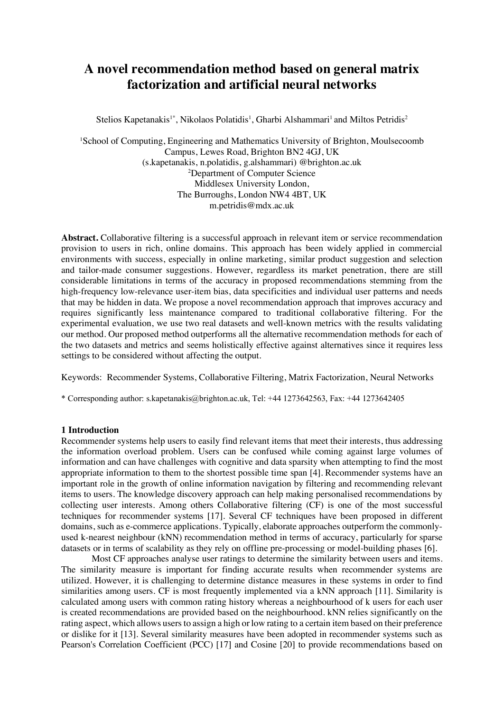# **A novel recommendation method based on general matrix factorization and artificial neural networks**

Stelios Kapetanakis<sup>1\*</sup>, Nikolaos Polatidis<sup>1</sup>, Gharbi Alshammari<sup>1</sup> and Miltos Petridis<sup>2</sup>

<sup>1</sup>School of Computing, Engineering and Mathematics University of Brighton, Moulsecoomb Campus, Lewes Road, Brighton BN2 4GJ, UK (s.kapetanakis, n.polatidis, g.alshammari) @brighton.ac.uk 2 Department of Computer Science Middlesex University London, The Burroughs, London NW4 4BT, UK m.petridis@mdx.ac.uk

**Abstract.** Collaborative filtering is a successful approach in relevant item or service recommendation provision to users in rich, online domains. This approach has been widely applied in commercial environments with success, especially in online marketing, similar product suggestion and selection and tailor-made consumer suggestions. However, regardless its market penetration, there are still considerable limitations in terms of the accuracy in proposed recommendations stemming from the high-frequency low-relevance user-item bias, data specificities and individual user patterns and needs that may be hidden in data. We propose a novel recommendation approach that improves accuracy and requires significantly less maintenance compared to traditional collaborative filtering. For the experimental evaluation, we use two real datasets and well-known metrics with the results validating our method. Our proposed method outperforms all the alternative recommendation methods for each of the two datasets and metrics and seems holistically effective against alternatives since it requires less settings to be considered without affecting the output.

Keywords: Recommender Systems, Collaborative Filtering, Matrix Factorization, Neural Networks

\* Corresponding author: s.kapetanakis@brighton.ac.uk, Tel: +44 1273642563, Fax: +44 1273642405

## **1 Introduction**

Recommender systems help users to easily find relevant items that meet their interests, thus addressing the information overload problem. Users can be confused while coming against large volumes of information and can have challenges with cognitive and data sparsity when attempting to find the most appropriate information to them to the shortest possible time span [4]. Recommender systems have an important role in the growth of online information navigation by filtering and recommending relevant items to users. The knowledge discovery approach can help making personalised recommendations by collecting user interests. Among others Collaborative filtering (CF) is one of the most successful techniques for recommender systems [17]. Several CF techniques have been proposed in different domains, such as e-commerce applications. Typically, elaborate approaches outperform the commonlyused k-nearest neighbour (kNN) recommendation method in terms of accuracy, particularly for sparse datasets or in terms of scalability as they rely on offline pre-processing or model-building phases [6].

Most CF approaches analyse user ratings to determine the similarity between users and items. The similarity measure is important for finding accurate results when recommender systems are utilized. However, it is challenging to determine distance measures in these systems in order to find similarities among users. CF is most frequently implemented via a kNN approach [11]. Similarity is calculated among users with common rating history whereas a neighbourhood of k users for each user is created recommendations are provided based on the neighbourhood. kNN relies significantly on the rating aspect, which allows users to assign a high or low rating to a certain item based on their preference or dislike for it [13]. Several similarity measures have been adopted in recommender systems such as Pearson's Correlation Coefficient (PCC) [17] and Cosine [20] to provide recommendations based on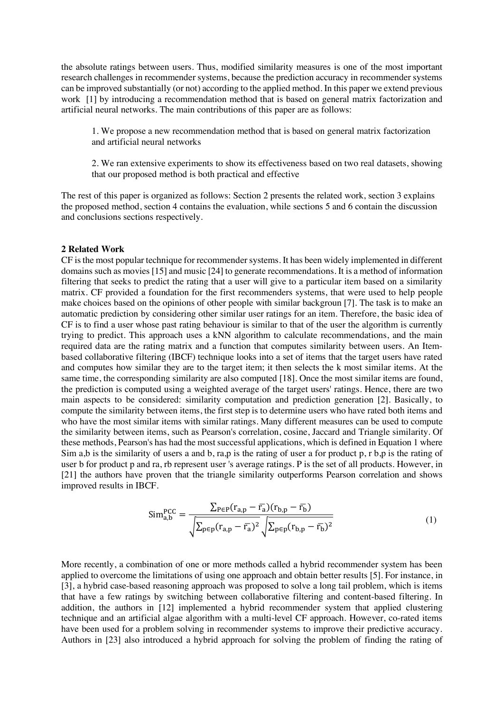the absolute ratings between users. Thus, modified similarity measures is one of the most important research challenges in recommender systems, because the prediction accuracy in recommender systems can be improved substantially (or not) according to the applied method. In this paper we extend previous work [1] by introducing a recommendation method that is based on general matrix factorization and artificial neural networks. The main contributions of this paper are as follows:

1. We propose a new recommendation method that is based on general matrix factorization and artificial neural networks

2. We ran extensive experiments to show its effectiveness based on two real datasets, showing that our proposed method is both practical and effective

The rest of this paper is organized as follows: Section 2 presents the related work, section 3 explains the proposed method, section 4 contains the evaluation, while sections 5 and 6 contain the discussion and conclusions sections respectively.

#### **2 Related Work**

CF is the most popular technique for recommender systems. It has been widely implemented in different domains such as movies [15] and music [24] to generate recommendations. It is a method of information filtering that seeks to predict the rating that a user will give to a particular item based on a similarity matrix. CF provided a foundation for the first recommenders systems, that were used to help people make choices based on the opinions of other people with similar backgroun [7]. The task is to make an automatic prediction by considering other similar user ratings for an item. Therefore, the basic idea of CF is to find a user whose past rating behaviour is similar to that of the user the algorithm is currently trying to predict. This approach uses a kNN algorithm to calculate recommendations, and the main required data are the rating matrix and a function that computes similarity between users. An Itembased collaborative filtering (IBCF) technique looks into a set of items that the target users have rated and computes how similar they are to the target item; it then selects the k most similar items. At the same time, the corresponding similarity are also computed [18]. Once the most similar items are found, the prediction is computed using a weighted average of the target users' ratings. Hence, there are two main aspects to be considered: similarity computation and prediction generation [2]. Basically, to compute the similarity between items, the first step is to determine users who have rated both items and who have the most similar items with similar ratings. Many different measures can be used to compute the similarity between items, such as Pearson's correlation, cosine, Jaccard and Triangle similarity. Of these methods, Pearson's has had the most successful applications, which is defined in Equation 1 where Sim a,b is the similarity of users a and b, ra,p is the rating of user a for product p, r b,p is the rating of user b for product p and ra, rb represent user 's average ratings. P is the set of all products. However, in [21] the authors have proven that the triangle similarity outperforms Pearson correlation and shows improved results in IBCF.

$$
\text{Sim}_{\text{a,b}}^{\text{PCC}} = \frac{\sum_{\text{P}\in\text{P}}(r_{\text{a,p}} - \bar{r}_{\text{a}})(r_{\text{b,p}} - \bar{r}_{\text{b}})}{\sqrt{\sum_{\text{P}\in\text{P}}(r_{\text{a,p}} - \bar{r}_{\text{a}})^2} \sqrt{\sum_{\text{P}\in\text{P}}(r_{\text{b,p}} - \bar{r}_{\text{b}})^2}}
$$
(1)

More recently, a combination of one or more methods called a hybrid recommender system has been applied to overcome the limitations of using one approach and obtain better results [5]. For instance, in [3], a hybrid case-based reasoning approach was proposed to solve a long tail problem, which is items that have a few ratings by switching between collaborative filtering and content-based filtering. In addition, the authors in [12] implemented a hybrid recommender system that applied clustering technique and an artificial algae algorithm with a multi-level CF approach. However, co-rated items have been used for a problem solving in recommender systems to improve their predictive accuracy. Authors in [23] also introduced a hybrid approach for solving the problem of finding the rating of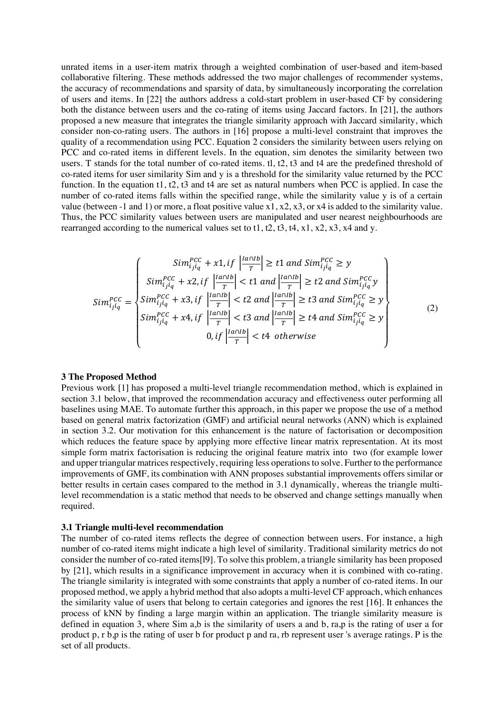unrated items in a user-item matrix through a weighted combination of user-based and item-based collaborative filtering. These methods addressed the two major challenges of recommender systems, the accuracy of recommendations and sparsity of data, by simultaneously incorporating the correlation of users and items. In [22] the authors address a cold-start problem in user-based CF by considering both the distance between users and the co-rating of items using Jaccard factors. In [21], the authors proposed a new measure that integrates the triangle similarity approach with Jaccard similarity, which consider non-co-rating users. The authors in [16] propose a multi-level constraint that improves the quality of a recommendation using PCC. Equation 2 considers the similarity between users relying on PCC and co-rated items in different levels. In the equation, sim denotes the similarity between two users. T stands for the total number of co-rated items. tl, t2, t3 and t4 are the predefined threshold of co-rated items for user similarity Sim and y is a threshold for the similarity value returned by the PCC function. In the equation t1, t2, t3 and t4 are set as natural numbers when PCC is applied. In case the number of co-rated items falls within the specified range, while the similarity value y is of a certain value (between -1 and 1) or more, a float positive value x1, x2, x3, or x4 is added to the similarity value. Thus, the PCC similarity values between users are manipulated and user nearest neighbourhoods are rearranged according to the numerical values set to  $t1, t2, t3, t4, x1, x2, x3, x4$  and y.

$$
Sim_{ij}^{PCC} = \begin{cases} Sim_{ij}^{PCC} + x1, if \left| \frac{|a \cap Ib}{T} \right| \ge t1 \ and \ Sim_{ij}^{PCC} \ge y \\ Sim_{ijiq}^{PCC} + x2, if \left| \frac{|a \cap Ib}{T} \right| < t1 \ and \left| \frac{|a \cap Ib}{T} \right| \ge t2 \ and \ Sim_{ijiq}^{PCC} y \\ Sim_{ijiq}^{PCC} + x3, if \left| \frac{|a \cap Ib}{T} \right| < t2 \ and \left| \frac{|a \cap Ib}{T} \right| \ge t3 \ and \ Sim_{ijiq}^{PCC} \ge y \\ Sim_{ijiq}^{PCC} + x4, if \left| \frac{|a \cap Ib}{T} \right| < t3 \ and \left| \frac{|a \cap Ib}{T} \right| \ge t4 \ and \ Sim_{ijiq}^{PCC} \ge y \\ 0, if \left| \frac{|a \cap Ib}{T} \right| < t4 \ otherwise \end{cases} \tag{2}
$$

#### **3 The Proposed Method**

Previous work [1] has proposed a multi-level triangle recommendation method, which is explained in section 3.1 below, that improved the recommendation accuracy and effectiveness outer performing all baselines using MAE. To automate further this approach, in this paper we propose the use of a method based on general matrix factorization (GMF) and artificial neural networks (ANN) which is explained in section 3.2. Our motivation for this enhancement is the nature of factorisation or decomposition which reduces the feature space by applying more effective linear matrix representation. At its most simple form matrix factorisation is reducing the original feature matrix into two (for example lower and upper triangular matrices respectively, requiring less operations to solve. Further to the performance improvements of GMF, its combination with ANN proposes substantial improvements offers similar or better results in certain cases compared to the method in 3.1 dynamically, whereas the triangle multilevel recommendation is a static method that needs to be observed and change settings manually when required.

#### **3.1 Triangle multi-level recommendation**

The number of co-rated items reflects the degree of connection between users. For instance, a high number of co-rated items might indicate a high level of similarity. Traditional similarity metrics do not consider the number of co-rated items[l9]. To solve this problem, a triangle similarity has been proposed by [21], which results in a significance improvement in accuracy when it is combined with co-rating. The triangle similarity is integrated with some constraints that apply a number of co-rated items. In our proposed method, we apply a hybrid method that also adopts a multi-level CF approach, which enhances the similarity value of users that belong to certain categories and ignores the rest [16]. It enhances the process of kNN by finding a large margin within an application. The triangle similarity measure is defined in equation 3, where Sim a,b is the similarity of users a and b, ra,p is the rating of user a for product p, r b,p is the rating of user b for product p and ra, rb represent user 's average ratings. P is the set of all products.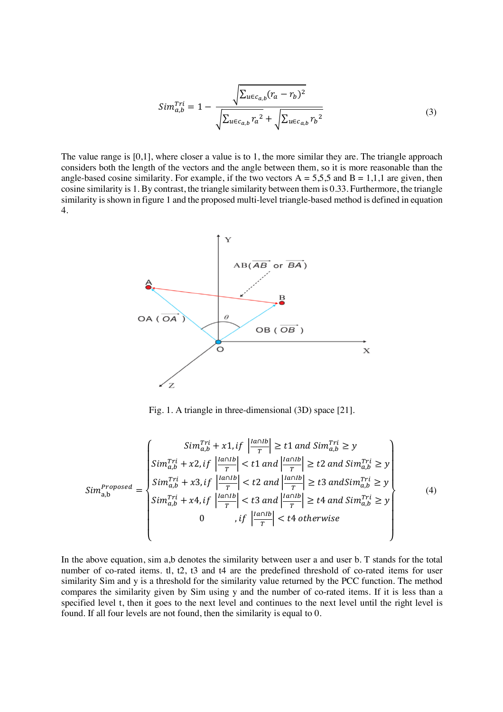$$
Sim_{a,b}^{Tri} = 1 - \frac{\sqrt{\sum_{u \in c_{a,b}} (r_a - r_b)^2}}{\sqrt{\sum_{u \in c_{a,b}} r_a^2 + \sqrt{\sum_{u \in c_{a,b}} r_b^2}}}
$$
(3)

The value range is  $[0,1]$ , where closer a value is to 1, the more similar they are. The triangle approach considers both the length of the vectors and the angle between them, so it is more reasonable than the angle-based cosine similarity. For example, if the two vectors  $A = 5,5,5$  and  $B = 1,1,1$  are given, then cosine similarity is 1. By contrast, the triangle similarity between them is 0.33. Furthermore, the triangle similarity is shown in figure 1 and the proposed multi-level triangle-based method is defined in equation 4.



Fig. 1. A triangle in three-dimensional (3D) space [21].

$$
Sim_{a,b}^{Projused} = \begin{cases} Sim_{a,b}^{Tri} + x1, if \left| \frac{|a \cap lb}{T} \right| \ge t1 \ and \ Sim_{a,b}^{Tri} \ge y \\ Sim_{a,b}^{Tri} + x2, if \left| \frac{|a \cap lb}{T} \right| < t1 \ and \left| \frac{|a \cap lb}{T} \right| \ge t2 \ and \ Sim_{a,b}^{Tri} \ge y \\ Sim_{a,b}^{Tri} + x3, if \left| \frac{|a \cap lb}{T} \right| < t2 \ and \left| \frac{|a \cap lb}{T} \right| \ge t3 \ and Sim_{a,b}^{Tri} \ge y \\ Sim_{a,b}^{Tri} + x4, if \left| \frac{|a \cap lb}{T} \right| < t3 \ and \left| \frac{|a \cap lb}{T} \right| \ge t4 \ and \ Sim_{a,b}^{Tri} \ge y \\ 0, if \left| \frac{|a \cap lb}{T} \right| < t4 \ otherwise \end{cases} \tag{4}
$$

In the above equation, sim a,b denotes the similarity between user a and user b. T stands for the total number of co-rated items. tl, t2, t3 and t4 are the predefined threshold of co-rated items for user similarity Sim and y is a threshold for the similarity value returned by the PCC function. The method compares the similarity given by Sim using y and the number of co-rated items. If it is less than a specified level t, then it goes to the next level and continues to the next level until the right level is found. If all four levels are not found, then the similarity is equal to 0.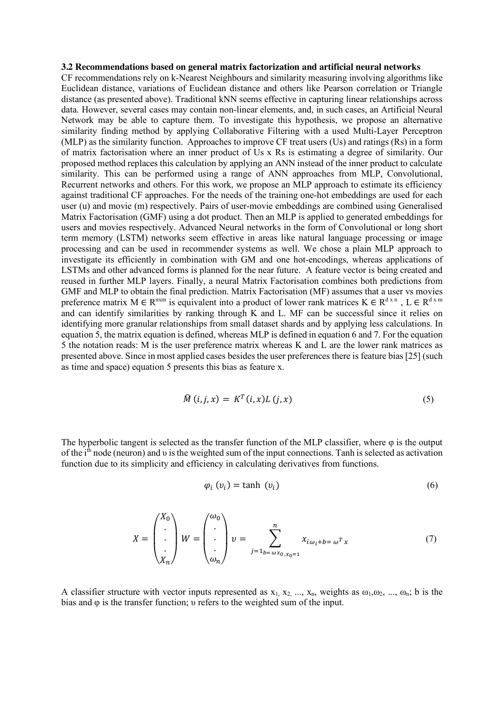#### **3.2 Recommendations based on general matrix factorization and artificial neural networks**

CF recommendations rely on k-Nearest Neighbours and similarity measuring involving algorithms like Euclidean distance, variations of Euclidean distance and others like Pearson correlation or Triangle distance (as presented above). Traditional kNN seems effective in capturing linear relationships across data. However, several cases may contain non-linear elements, and, in such cases, an Artificial Neural Network may be able to capture them. To investigate this hypothesis, we propose an alternative similarity finding method by applying Collaborative Filtering with a used Multi-Layer Perceptron (MLP) as the similarity function. Approaches to improve CF treat users (Us) and ratings (Rs) in a form of matrix factorisation where an inner product of Us x Rs is estimating a degree of similarity. Our proposed method replaces this calculation by applying an ANN instead of the inner product to calculate similarity. This can be performed using a range of ANN approaches from MLP, Convolutional, Recurrent networks and others. For this work, we propose an MLP approach to estimate its efficiency against traditional CF approaches. For the needs of the training one-hot embeddings are used for each user (u) and movie (m) respectively. Pairs of user-movie embeddings are combined using Generalised Matrix Factorisation (GMF) using a dot product. Then an MLP is applied to generated embeddings for users and movies respectively. Advanced Neural networks in the form of Convolutional or long short term memory (LSTM) networks seem effective in areas like natural language processing or image processing and can be used in recommender systems as well. We chose a plain MLP approach to investigate its efficiently in combination with GM and one hot-encodings, whereas applications of LSTMs and other advanced forms is planned for the near future. A feature vector is being created and reused in further MLP layers. Finally, a neural Matrix Factorisation combines both predictions from GMF and MLP to obtain the final prediction. Matrix Factorisation (MF) assumes that a user vs movies preference matrix  $M \in R^{n \times m}$  is equivalent into a product of lower rank matrices  $K \in R^{d \times n}$ ,  $L \in R^{d \times m}$ and can identify similarities by ranking through K and L. MF can be successful since it relies on identifying more granular relationships from small dataset shards and by applying less calculations. In equation 5, the matrix equation is defined, whereas MLP is defined in equation 6 and 7. For the equation 5 the notation reads: M is the user preference matrix whereas K and L are the lower rank matrices as presented above. Since in most applied cases besides the user preferences there is feature bias [25] (such as time and space) equation 5 presents this bias as feature x.

$$
\widehat{M}(i,j,x) = K^T(i,x)L(j,x)
$$
\n(5)

The hyperbolic tangent is selected as the transfer function of the MLP classifier, where  $\varphi$  is the output of the i<sup>th</sup> node (neuron) and v is the weighted sum of the input connections. Tanh is selected as activation function due to its simplicity and efficiency in calculating derivatives from functions.

$$
\varphi_i\left(v_i\right) = \tanh\left(v_i\right) \tag{6}
$$

$$
X = \begin{pmatrix} X_0 \\ \cdot \\ \cdot \\ \cdot \\ X_n \end{pmatrix} W = \begin{pmatrix} \omega_0 \\ \cdot \\ \cdot \\ \omega_n \end{pmatrix} v = \sum_{j=1_{b=\omega x_0, x_0=1}}^n x_{i\omega_i + b = \omega^T x}
$$
(7)

A classifier structure with vector inputs represented as  $x_1, x_2, ..., x_n$ , weights as  $\omega_1, \omega_2, ..., \omega_n$ ; b is the bias and φ is the transfer function; υ refers to the weighted sum of the input.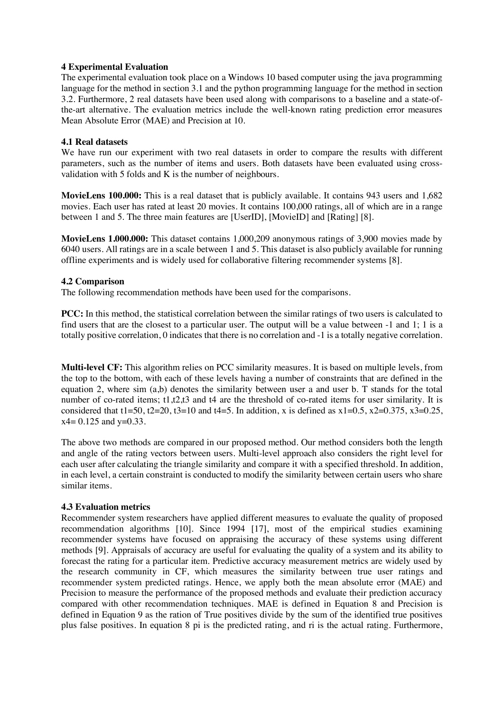# **4 Experimental Evaluation**

The experimental evaluation took place on a Windows 10 based computer using the java programming language for the method in section 3.1 and the python programming language for the method in section 3.2. Furthermore, 2 real datasets have been used along with comparisons to a baseline and a state-ofthe-art alternative. The evaluation metrics include the well-known rating prediction error measures Mean Absolute Error (MAE) and Precision at 10.

# **4.1 Real datasets**

We have run our experiment with two real datasets in order to compare the results with different parameters, such as the number of items and users. Both datasets have been evaluated using crossvalidation with 5 folds and K is the number of neighbours.

**MovieLens 100.000:** This is a real dataset that is publicly available. It contains 943 users and 1,682 movies. Each user has rated at least 20 movies. It contains 100,000 ratings, all of which are in a range between 1 and 5. The three main features are [UserID], [MovieID] and [Rating] [8].

**MovieLens 1.000.000:** This dataset contains 1,000,209 anonymous ratings of 3,900 movies made by 6040 users. All ratings are in a scale between 1 and 5. This dataset is also publicly available for running offline experiments and is widely used for collaborative filtering recommender systems [8].

# **4.2 Comparison**

The following recommendation methods have been used for the comparisons.

**PCC:** In this method, the statistical correlation between the similar ratings of two users is calculated to find users that are the closest to a particular user. The output will be a value between -1 and 1; 1 is a totally positive correlation, 0 indicates that there is no correlation and -1 is a totally negative correlation.

**Multi-level CF:** This algorithm relies on PCC similarity measures. It is based on multiple levels, from the top to the bottom, with each of these levels having a number of constraints that are defined in the equation 2, where sim (a,b) denotes the similarity between user a and user b. T stands for the total number of co-rated items; t1,t2,t3 and t4 are the threshold of co-rated items for user similarity. It is considered that t1=50, t2=20, t3=10 and t4=5. In addition, x is defined as  $x1=0.5$ ,  $x2=0.375$ ,  $x3=0.25$ ,  $x4 = 0.125$  and  $y=0.33$ .

The above two methods are compared in our proposed method. Our method considers both the length and angle of the rating vectors between users. Multi-level approach also considers the right level for each user after calculating the triangle similarity and compare it with a specified threshold. In addition, in each level, a certain constraint is conducted to modify the similarity between certain users who share similar items.

# **4.3 Evaluation metrics**

Recommender system researchers have applied different measures to evaluate the quality of proposed recommendation algorithms [10]. Since 1994 [17], most of the empirical studies examining recommender systems have focused on appraising the accuracy of these systems using different methods [9]. Appraisals of accuracy are useful for evaluating the quality of a system and its ability to forecast the rating for a particular item. Predictive accuracy measurement metrics are widely used by the research community in CF, which measures the similarity between true user ratings and recommender system predicted ratings. Hence, we apply both the mean absolute error (MAE) and Precision to measure the performance of the proposed methods and evaluate their prediction accuracy compared with other recommendation techniques. MAE is defined in Equation 8 and Precision is defined in Equation 9 as the ration of True positives divide by the sum of the identified true positives plus false positives. In equation 8 pi is the predicted rating, and ri is the actual rating. Furthermore,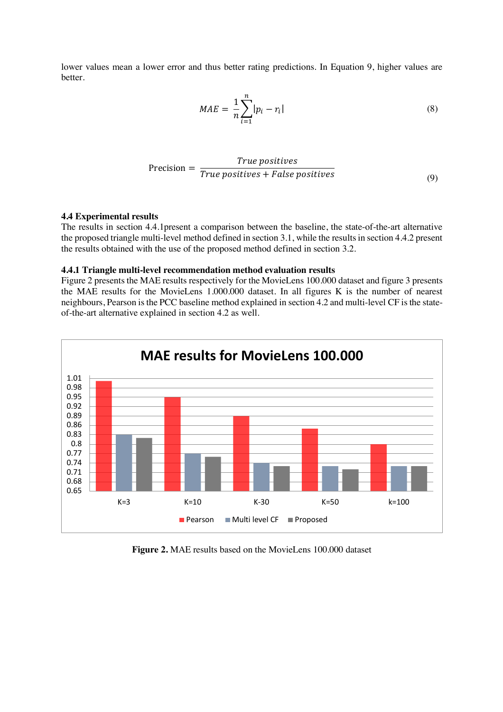lower values mean a lower error and thus better rating predictions. In Equation 9, higher values are better.

$$
MAE = \frac{1}{n} \sum_{i=1}^{n} |p_i - r_i|
$$
\n(8)

$$
Precision = \frac{True\ positives}{True\ positives + False\ positives}
$$
\n(9)

## **4.4 Experimental results**

The results in section 4.4.1present a comparison between the baseline, the state-of-the-art alternative the proposed triangle multi-level method defined in section 3.1, while the results in section 4.4.2 present the results obtained with the use of the proposed method defined in section 3.2.

### **4.4.1 Triangle multi-level recommendation method evaluation results**

Figure 2 presents the MAE results respectively for the MovieLens 100.000 dataset and figure 3 presents the MAE results for the MovieLens 1.000.000 dataset. In all figures K is the number of nearest neighbours, Pearson is the PCC baseline method explained in section 4.2 and multi-level CF is the stateof-the-art alternative explained in section 4.2 as well.



**Figure 2.** MAE results based on the MovieLens 100.000 dataset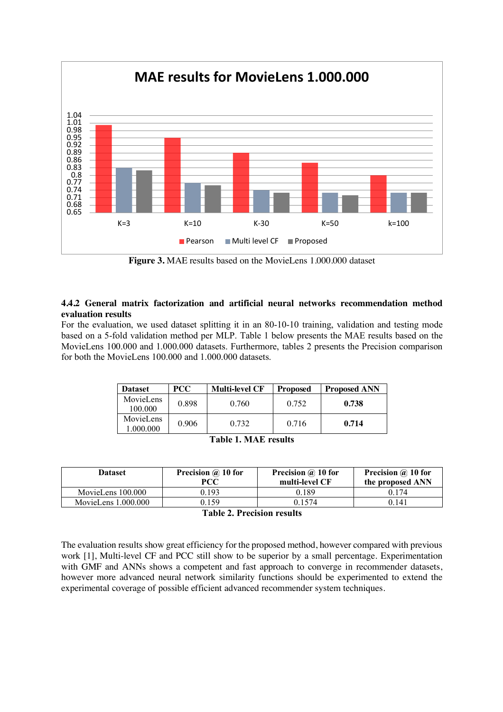

**Figure 3.** MAE results based on the MovieLens 1.000.000 dataset

# **4.4.2 General matrix factorization and artificial neural networks recommendation method evaluation results**

For the evaluation, we used dataset splitting it in an 80-10-10 training, validation and testing mode based on a 5-fold validation method per MLP. Table 1 below presents the MAE results based on the MovieLens 100.000 and 1.000.000 datasets. Furthermore, tables 2 presents the Precision comparison for both the MovieLens 100.000 and 1.000.000 datasets.

| <b>Dataset</b>         | <b>PCC</b> | <b>Multi-level CF</b> | <b>Proposed</b> | <b>Proposed ANN</b> |
|------------------------|------------|-----------------------|-----------------|---------------------|
| MovieLens<br>100.000   | 0.898      | 0.760                 | 0.752           | 0.738               |
| MovieLens<br>1.000.000 | 0.906      | 0.732                 | 0.716           | 0.714               |

| <b>Table 1. MAE results</b> |  |  |  |  |
|-----------------------------|--|--|--|--|
|-----------------------------|--|--|--|--|

| <b>Dataset</b>        | Precision @ 10 for<br>PCC | Precision @ 10 for<br>multi-level CF | Precision @ 10 for<br>the proposed ANN |
|-----------------------|---------------------------|--------------------------------------|----------------------------------------|
| MovieLens 100.000     | 0.193                     | 0.189                                | 0 1 7 4                                |
| MovieLens $1.000.000$ | 0 1 5 9                   | 0 1 5 7 4                            | 0.141                                  |

**Table 2. Precision results**

The evaluation results show great efficiency for the proposed method, however compared with previous work [1], Multi-level CF and PCC still show to be superior by a small percentage. Experimentation with GMF and ANNs shows a competent and fast approach to converge in recommender datasets, however more advanced neural network similarity functions should be experimented to extend the experimental coverage of possible efficient advanced recommender system techniques.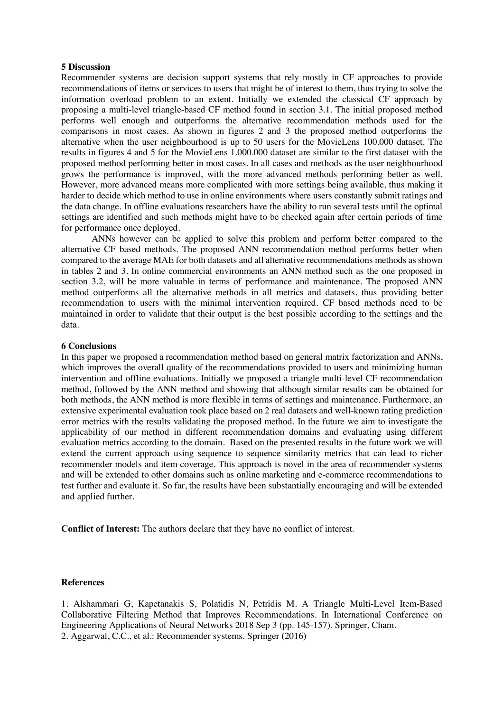### **5 Discussion**

Recommender systems are decision support systems that rely mostly in CF approaches to provide recommendations of items or services to users that might be of interest to them, thus trying to solve the information overload problem to an extent. Initially we extended the classical CF approach by proposing a multi-level triangle-based CF method found in section 3.1. The initial proposed method performs well enough and outperforms the alternative recommendation methods used for the comparisons in most cases. As shown in figures 2 and 3 the proposed method outperforms the alternative when the user neighbourhood is up to 50 users for the MovieLens 100.000 dataset. The results in figures 4 and 5 for the MovieLens 1.000.000 dataset are similar to the first dataset with the proposed method performing better in most cases. In all cases and methods as the user neighbourhood grows the performance is improved, with the more advanced methods performing better as well. However, more advanced means more complicated with more settings being available, thus making it harder to decide which method to use in online environments where users constantly submit ratings and the data change. In offline evaluations researchers have the ability to run several tests until the optimal settings are identified and such methods might have to be checked again after certain periods of time for performance once deployed.

ANNs however can be applied to solve this problem and perform better compared to the alternative CF based methods. The proposed ANN recommendation method performs better when compared to the average MAE for both datasets and all alternative recommendations methods as shown in tables 2 and 3. In online commercial environments an ANN method such as the one proposed in section 3.2, will be more valuable in terms of performance and maintenance. The proposed ANN method outperforms all the alternative methods in all metrics and datasets, thus providing better recommendation to users with the minimal intervention required. CF based methods need to be maintained in order to validate that their output is the best possible according to the settings and the data.

### **6 Conclusions**

In this paper we proposed a recommendation method based on general matrix factorization and ANNs, which improves the overall quality of the recommendations provided to users and minimizing human intervention and offline evaluations. Initially we proposed a triangle multi-level CF recommendation method, followed by the ANN method and showing that although similar results can be obtained for both methods, the ANN method is more flexible in terms of settings and maintenance. Furthermore, an extensive experimental evaluation took place based on 2 real datasets and well-known rating prediction error metrics with the results validating the proposed method. In the future we aim to investigate the applicability of our method in different recommendation domains and evaluating using different evaluation metrics according to the domain. Based on the presented results in the future work we will extend the current approach using sequence to sequence similarity metrics that can lead to richer recommender models and item coverage. This approach is novel in the area of recommender systems and will be extended to other domains such as online marketing and e-commerce recommendations to test further and evaluate it. So far, the results have been substantially encouraging and will be extended and applied further.

**Conflict of Interest:** The authors declare that they have no conflict of interest.

### **References**

1. Alshammari G, Kapetanakis S, Polatidis N, Petridis M. A Triangle Multi-Level Item-Based Collaborative Filtering Method that Improves Recommendations. In International Conference on Engineering Applications of Neural Networks 2018 Sep 3 (pp. 145-157). Springer, Cham. 2. Aggarwal, C.C., et al.: Recommender systems. Springer (2016)